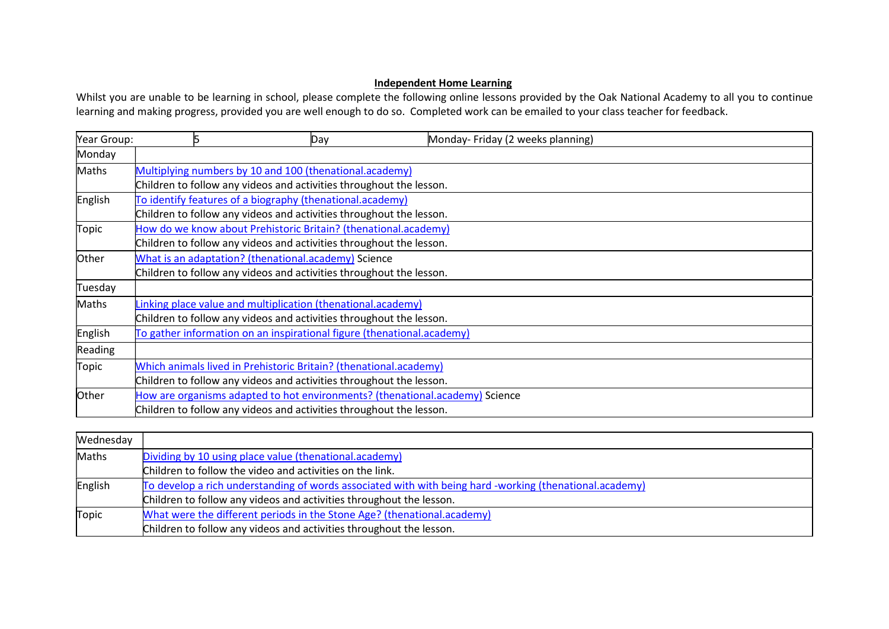## Independent Home Learning

Whilst you are unable to be learning in school, please complete the following online lessons provided by the Oak National Academy to all you to continue learning and making progress, provided you are well enough to do so. Completed work can be emailed to your class teacher for feedback.

| Year Group: | 15 | Day                                                                    | Monday-Friday (2 weeks planning)                                             |  |
|-------------|----|------------------------------------------------------------------------|------------------------------------------------------------------------------|--|
| Monday      |    |                                                                        |                                                                              |  |
| Maths       |    | Multiplying numbers by 10 and 100 (thenational.academy)                |                                                                              |  |
|             |    | Children to follow any videos and activities throughout the lesson.    |                                                                              |  |
| English     |    | To identify features of a biography (thenational.academy)              |                                                                              |  |
|             |    | Children to follow any videos and activities throughout the lesson.    |                                                                              |  |
| Topic       |    | How do we know about Prehistoric Britain? (thenational.academy)        |                                                                              |  |
|             |    | Children to follow any videos and activities throughout the lesson.    |                                                                              |  |
| Other       |    | What is an adaptation? (thenational.academy) Science                   |                                                                              |  |
|             |    | Children to follow any videos and activities throughout the lesson.    |                                                                              |  |
| Tuesday     |    |                                                                        |                                                                              |  |
| Maths       |    | Linking place value and multiplication (thenational.academy)           |                                                                              |  |
|             |    | Children to follow any videos and activities throughout the lesson.    |                                                                              |  |
| English     |    | To gather information on an inspirational figure (thenational.academy) |                                                                              |  |
| Reading     |    |                                                                        |                                                                              |  |
| Topic       |    | Which animals lived in Prehistoric Britain? (thenational.academy)      |                                                                              |  |
|             |    | Children to follow any videos and activities throughout the lesson.    |                                                                              |  |
| Other       |    |                                                                        | How are organisms adapted to hot environments? (thenational.academy) Science |  |
|             |    | Children to follow any videos and activities throughout the lesson.    |                                                                              |  |

| Wednesday |                                                                                                         |
|-----------|---------------------------------------------------------------------------------------------------------|
| Maths     | Dividing by 10 using place value (thenational.academy)                                                  |
|           | Children to follow the video and activities on the link.                                                |
| English   | To develop a rich understanding of words associated with with being hard -working (thenational.academy) |
|           | Children to follow any videos and activities throughout the lesson.                                     |
| Topic     | What were the different periods in the Stone Age? (thenational.academy)                                 |
|           | Children to follow any videos and activities throughout the lesson.                                     |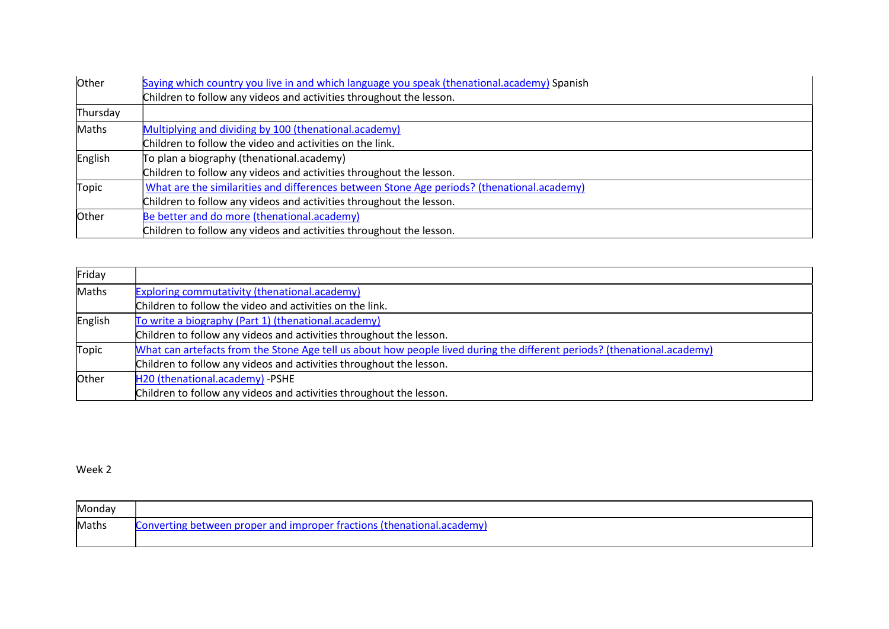| Other    | Saying which country you live in and which language you speak (thenational.academy) Spanish |
|----------|---------------------------------------------------------------------------------------------|
|          | Children to follow any videos and activities throughout the lesson.                         |
| Thursday |                                                                                             |
| Maths    | Multiplying and dividing by 100 (thenational.academy)                                       |
|          | Children to follow the video and activities on the link.                                    |
| English  | To plan a biography (thenational.academy)                                                   |
|          | Children to follow any videos and activities throughout the lesson.                         |
| Topic    | What are the similarities and differences between Stone Age periods? (thenational.academy)  |
|          | Children to follow any videos and activities throughout the lesson.                         |
| Other    | Be better and do more (thenational.academy)                                                 |
|          | Children to follow any videos and activities throughout the lesson.                         |

| Friday  |                                                                                                                          |
|---------|--------------------------------------------------------------------------------------------------------------------------|
| Maths   | <b>Exploring commutativity (thenational.academy)</b>                                                                     |
|         | Children to follow the video and activities on the link.                                                                 |
| English | To write a biography (Part 1) (thenational.academy)                                                                      |
|         | Children to follow any videos and activities throughout the lesson.                                                      |
| Topic   | What can artefacts from the Stone Age tell us about how people lived during the different periods? (thenational.academy) |
|         | Children to follow any videos and activities throughout the lesson.                                                      |
| Other   | H20 (thenational.academy) -PSHE                                                                                          |
|         | Children to follow any videos and activities throughout the lesson.                                                      |

Week 2

| Monday       |                                                                        |
|--------------|------------------------------------------------------------------------|
| <b>Maths</b> | Converting between proper and improper fractions (thenational.academy) |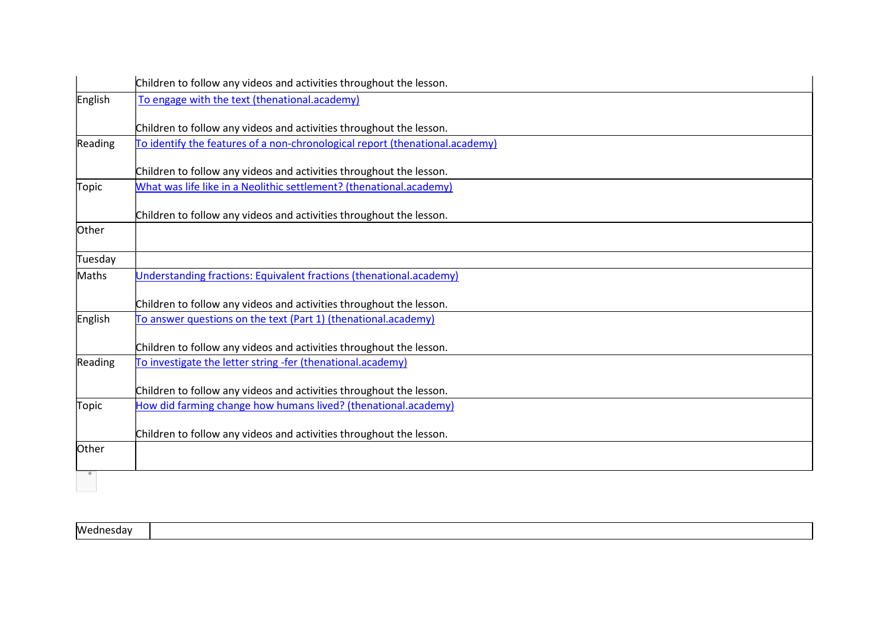|         | Children to follow any videos and activities throughout the lesson.          |
|---------|------------------------------------------------------------------------------|
| English | To engage with the text (thenational.academy)                                |
|         | Children to follow any videos and activities throughout the lesson.          |
| Reading | To identify the features of a non-chronological report (thenational.academy) |
|         | Children to follow any videos and activities throughout the lesson.          |
| Topic   | What was life like in a Neolithic settlement? (thenational.academy)          |
|         | Children to follow any videos and activities throughout the lesson.          |
| Other   |                                                                              |
| Tuesday |                                                                              |
| Maths   | Understanding fractions: Equivalent fractions (thenational.academy)          |
|         | Children to follow any videos and activities throughout the lesson.          |
| English | To answer questions on the text (Part 1) (thenational.academy)               |
|         | Children to follow any videos and activities throughout the lesson.          |
| Reading | To investigate the letter string -fer (thenational.academy)                  |
|         | Children to follow any videos and activities throughout the lesson.          |
| Topic   | How did farming change how humans lived? (thenational.academy)               |
|         | Children to follow any videos and activities throughout the lesson.          |
| Other   |                                                                              |
|         |                                                                              |

| Wednesday |  |  |
|-----------|--|--|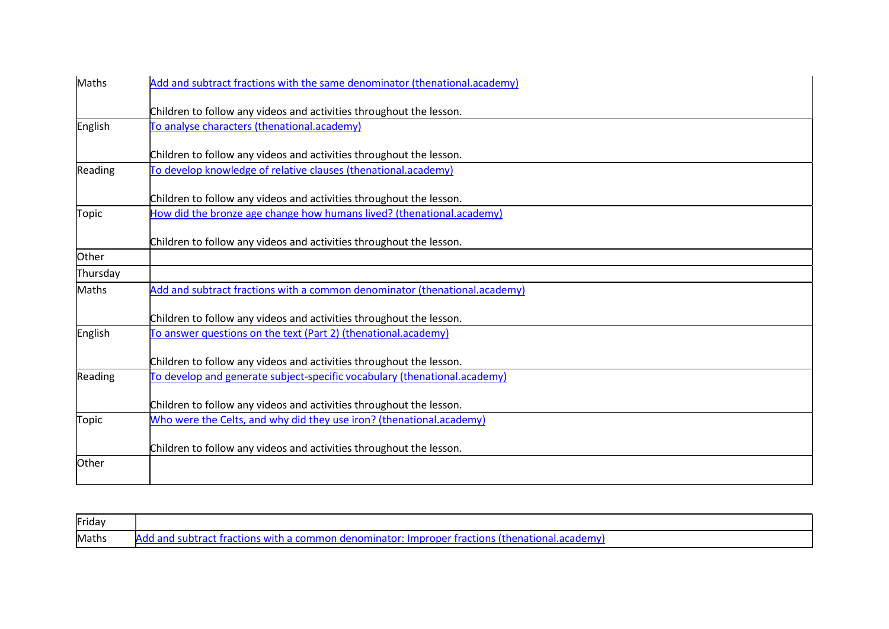| Maths        | Add and subtract fractions with the same denominator (thenational.academy) |
|--------------|----------------------------------------------------------------------------|
|              | Children to follow any videos and activities throughout the lesson.        |
| English      | To analyse characters (thenational.academy)                                |
|              |                                                                            |
|              | Children to follow any videos and activities throughout the lesson.        |
| Reading      | To develop knowledge of relative clauses (thenational.academy)             |
|              | Children to follow any videos and activities throughout the lesson.        |
| Topic        | How did the bronze age change how humans lived? (thenational.academy)      |
|              | Children to follow any videos and activities throughout the lesson.        |
| Other        |                                                                            |
| Thursday     |                                                                            |
| <b>Maths</b> | Add and subtract fractions with a common denominator (thenational.academy) |
|              | Children to follow any videos and activities throughout the lesson.        |
| English      | To answer questions on the text (Part 2) (thenational.academy)             |
|              | Children to follow any videos and activities throughout the lesson.        |
| Reading      | To develop and generate subject-specific vocabulary (thenational.academy)  |
|              | Children to follow any videos and activities throughout the lesson.        |
| <b>Topic</b> | Who were the Celts, and why did they use iron? (thenational.academy)       |
|              | Children to follow any videos and activities throughout the lesson.        |
| Other        |                                                                            |
|              |                                                                            |

| Friday |                                                                                                          |
|--------|----------------------------------------------------------------------------------------------------------|
| Maths  | $\alpha$ and subtract fractions with a common denominator: Improper fractions (thenational.academy<br>Δ₫ |